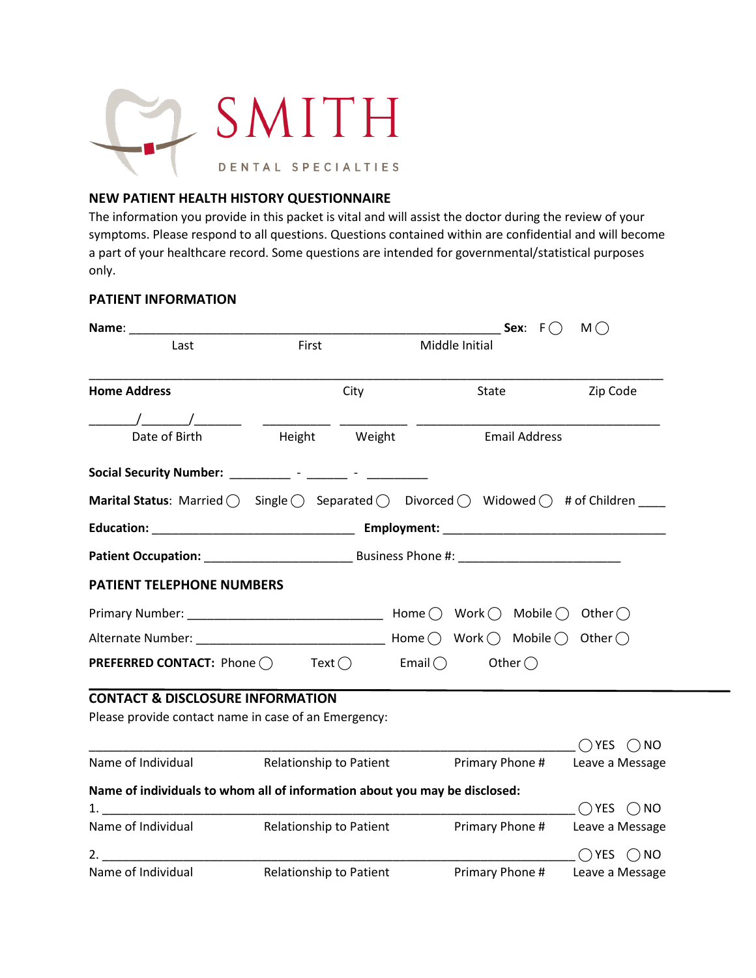

## **NEW PATIENT HEALTH HISTORY QUESTIONNAIRE**

The information you provide in this packet is vital and will assist the doctor during the review of your symptoms. Please respond to all questions. Questions contained within are confidential and will become a part of your healthcare record. Some questions are intended for governmental/statistical purposes only.

#### **PATIENT INFORMATION**

|                                                                                                                                     |                                |                                   | Sex: $F()$             | M()                        |
|-------------------------------------------------------------------------------------------------------------------------------------|--------------------------------|-----------------------------------|------------------------|----------------------------|
| Last                                                                                                                                | First                          |                                   | Middle Initial         |                            |
| <b>Home Address</b>                                                                                                                 |                                | City                              | State                  | Zip Code                   |
|                                                                                                                                     |                                |                                   |                        |                            |
| Date of Birth                                                                                                                       |                                | Height Weight                     | <b>Email Address</b>   |                            |
| Social Security Number: ___________ - _______ -                                                                                     |                                | <b>Contract Contract Contract</b> |                        |                            |
| Marital Status: Married $\bigcirc$ Single $\bigcirc$ Separated $\bigcirc$ Divorced $\bigcirc$ Widowed $\bigcirc$ # of Children ____ |                                |                                   |                        |                            |
|                                                                                                                                     |                                |                                   |                        |                            |
|                                                                                                                                     |                                |                                   |                        |                            |
| <b>PATIENT TELEPHONE NUMBERS</b>                                                                                                    |                                |                                   |                        |                            |
|                                                                                                                                     |                                |                                   |                        |                            |
|                                                                                                                                     |                                |                                   |                        |                            |
| <b>PREFERRED CONTACT:</b> Phone $\bigcirc$                                                                                          |                                | $Text \bigcirc$ Email $\bigcirc$  | Other $\bigcirc$       |                            |
| <b>CONTACT &amp; DISCLOSURE INFORMATION</b>                                                                                         |                                |                                   |                        |                            |
| Please provide contact name in case of an Emergency:                                                                                |                                |                                   |                        |                            |
|                                                                                                                                     |                                |                                   |                        | $\bigcap$ YES $\bigcap$ NO |
| Name of Individual Relationship to Patient                                                                                          |                                |                                   | <b>Primary Phone #</b> | Leave a Message            |
| Name of individuals to whom all of information about you may be disclosed:                                                          |                                |                                   |                        |                            |
|                                                                                                                                     |                                |                                   |                        | $\bigcap$ YES $\bigcap$ NO |
| Name of Individual                                                                                                                  | Relationship to Patient        |                                   | Primary Phone #        | Leave a Message            |
| 2.                                                                                                                                  |                                |                                   |                        | $\bigcap$ YES $\bigcap$ NO |
| Name of Individual                                                                                                                  | <b>Relationship to Patient</b> |                                   | Primary Phone #        | Leave a Message            |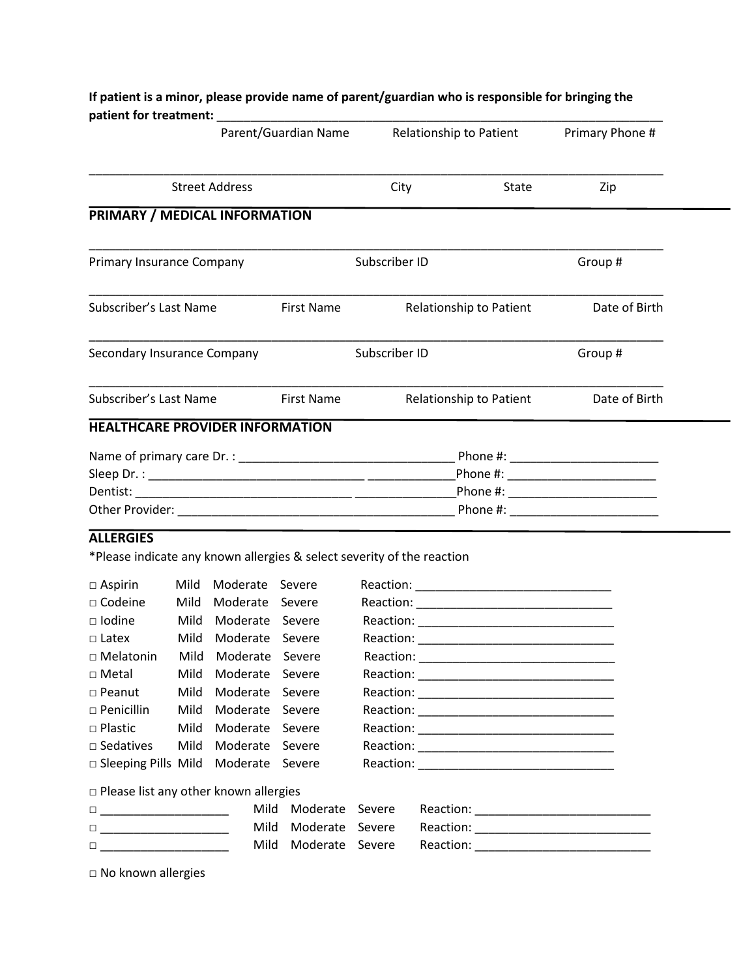|                                                                                                                                                                                                                                                                                                                                                                                                                                                                                                                                                                                                                                                                                                                                           |      |                      | Parent/Guardian Name                    |               | <b>Relationship to Patient</b> | Primary Phone # |
|-------------------------------------------------------------------------------------------------------------------------------------------------------------------------------------------------------------------------------------------------------------------------------------------------------------------------------------------------------------------------------------------------------------------------------------------------------------------------------------------------------------------------------------------------------------------------------------------------------------------------------------------------------------------------------------------------------------------------------------------|------|----------------------|-----------------------------------------|---------------|--------------------------------|-----------------|
| <b>Street Address</b>                                                                                                                                                                                                                                                                                                                                                                                                                                                                                                                                                                                                                                                                                                                     |      | City                 | State                                   | Zip           |                                |                 |
| PRIMARY / MEDICAL INFORMATION                                                                                                                                                                                                                                                                                                                                                                                                                                                                                                                                                                                                                                                                                                             |      |                      |                                         |               |                                |                 |
| Primary Insurance Company                                                                                                                                                                                                                                                                                                                                                                                                                                                                                                                                                                                                                                                                                                                 |      |                      |                                         | Subscriber ID |                                | Group#          |
| Subscriber's Last Name                                                                                                                                                                                                                                                                                                                                                                                                                                                                                                                                                                                                                                                                                                                    |      |                      | First Name                              |               | Relationship to Patient        | Date of Birth   |
| Secondary Insurance Company                                                                                                                                                                                                                                                                                                                                                                                                                                                                                                                                                                                                                                                                                                               |      |                      |                                         | Subscriber ID |                                | Group #         |
| Subscriber's Last Name                                                                                                                                                                                                                                                                                                                                                                                                                                                                                                                                                                                                                                                                                                                    |      |                      | <b>First Name</b>                       |               | Relationship to Patient        | Date of Birth   |
|                                                                                                                                                                                                                                                                                                                                                                                                                                                                                                                                                                                                                                                                                                                                           |      |                      |                                         |               |                                |                 |
|                                                                                                                                                                                                                                                                                                                                                                                                                                                                                                                                                                                                                                                                                                                                           |      |                      |                                         |               |                                |                 |
| <b>ALLERGIES</b><br>*Please indicate any known allergies & select severity of the reaction<br>$\Box$ Aspirin                                                                                                                                                                                                                                                                                                                                                                                                                                                                                                                                                                                                                              |      | Mild Moderate Severe |                                         |               |                                |                 |
| $\square$ Codeine                                                                                                                                                                                                                                                                                                                                                                                                                                                                                                                                                                                                                                                                                                                         | Mild | Moderate Severe      |                                         |               |                                |                 |
| $\Box$ Iodine                                                                                                                                                                                                                                                                                                                                                                                                                                                                                                                                                                                                                                                                                                                             |      | Mild Moderate Severe |                                         |               |                                |                 |
| $\Box$ Latex                                                                                                                                                                                                                                                                                                                                                                                                                                                                                                                                                                                                                                                                                                                              |      | Mild Moderate Severe |                                         | Reaction:     |                                |                 |
|                                                                                                                                                                                                                                                                                                                                                                                                                                                                                                                                                                                                                                                                                                                                           |      | Mild Moderate Severe |                                         |               |                                |                 |
|                                                                                                                                                                                                                                                                                                                                                                                                                                                                                                                                                                                                                                                                                                                                           | Mild | Moderate Severe      |                                         |               |                                |                 |
|                                                                                                                                                                                                                                                                                                                                                                                                                                                                                                                                                                                                                                                                                                                                           | Mild | Moderate Severe      |                                         |               |                                |                 |
|                                                                                                                                                                                                                                                                                                                                                                                                                                                                                                                                                                                                                                                                                                                                           | Mild | Moderate Severe      |                                         |               |                                |                 |
| □ Melatonin<br>$\Box$ Metal<br>$\square$ Peanut<br>$\square$ Penicillin<br>$\square$ Plastic                                                                                                                                                                                                                                                                                                                                                                                                                                                                                                                                                                                                                                              | Mild | Moderate Severe      |                                         |               |                                |                 |
|                                                                                                                                                                                                                                                                                                                                                                                                                                                                                                                                                                                                                                                                                                                                           | Mild | Moderate Severe      |                                         |               |                                |                 |
|                                                                                                                                                                                                                                                                                                                                                                                                                                                                                                                                                                                                                                                                                                                                           |      |                      |                                         |               |                                |                 |
|                                                                                                                                                                                                                                                                                                                                                                                                                                                                                                                                                                                                                                                                                                                                           |      |                      |                                         |               |                                |                 |
| $\square$ Sedatives<br>□ Sleeping Pills Mild Moderate Severe<br>$\square$ Please list any other known allergies<br>$\begin{tabular}{ c c c c c } \hline $ \quad \quad $ & $\quad \quad $ & $\quad \quad $ & $\quad \quad $ \\ \hline \quad \quad \quad $ & $\quad \quad $ & $\quad \quad $ & $\quad \quad $ & $\quad \quad $ & $\quad \quad $ & $\quad \quad $ & $\quad \quad $ & $\quad \quad $ & $\quad \quad $ & $\quad \quad $ & $\quad \quad $ & $\quad \quad $ & $\quad \quad $ & $\quad \quad $ & $\quad \quad $ & $\quad \quad $ & $\quad \quad $ & $\quad \quad $ & $\quad \quad $ & $\quad \quad $ & $\quad \quad $ & $\quad \quad $ & $\quad \quad $ & $\quad \quad $ & $\quad \quad $ & $\quad \quad $ & $\quad \quad $ & $\$ |      |                      | Mild Moderate Severe                    |               |                                |                 |
|                                                                                                                                                                                                                                                                                                                                                                                                                                                                                                                                                                                                                                                                                                                                           |      | Mild                 | Moderate Severe<br>Mild Moderate Severe |               |                                |                 |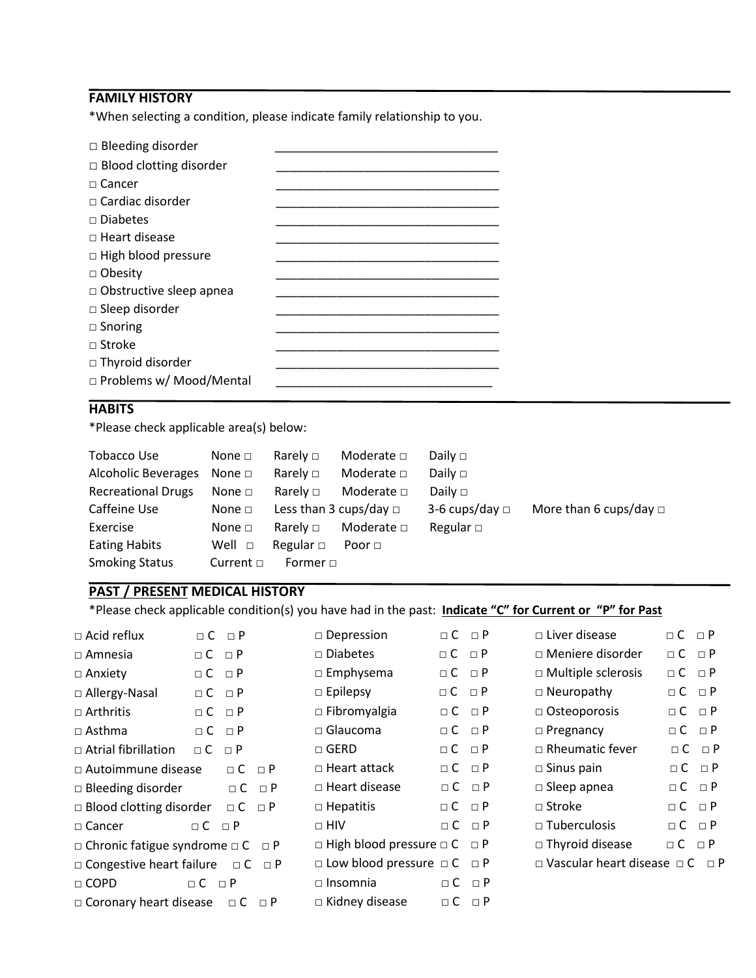# **FAMILY HISTORY**

\*When selecting a condition, please indicate family relationship to you.

| $\Box$ Bleeding disorder       |  |
|--------------------------------|--|
| $\Box$ Blood clotting disorder |  |
| $\sqcap$ Cancer                |  |
| $\sqcap$ Cardiac disorder      |  |
| $\Box$ Diabetes                |  |
| $\Box$ Heart disease           |  |
| $\Box$ High blood pressure     |  |
| $\Box$ Obesity                 |  |
| $\Box$ Obstructive sleep apnea |  |
| $\Box$ Sleep disorder          |  |
| $\Box$ Snoring                 |  |
| $\sqcap$ Stroke                |  |
| $\Box$ Thyroid disorder        |  |
| □ Problems w/ Mood/Mental      |  |

# **HABITS**

\*Please check applicable area(s) below:

| <b>Tobacco Use</b>         | None $\square$ | Rarely $\Box$               | Moderate $\Box$ | Daily $\Box$        |                             |
|----------------------------|----------------|-----------------------------|-----------------|---------------------|-----------------------------|
| <b>Alcoholic Beverages</b> | None $\Box$    | Rarely $\square$            | Moderate $\Box$ | Daily $\Box$        |                             |
| <b>Recreational Drugs</b>  | None $\Box$    | Rarely $\Box$               | Moderate $\Box$ | Daily $\Box$        |                             |
| Caffeine Use               | None $\square$ | Less than 3 cups/day $\Box$ |                 | 3-6 cups/day $\Box$ | More than 6 cups/day $\Box$ |
| Exercise                   | None $\square$ | Rarely $\Box$               | Moderate $\Box$ | Regular $\square$   |                             |
| <b>Eating Habits</b>       | Well $\Box$    | Regular $\Box$              | Poor $\Box$     |                     |                             |
| <b>Smoking Status</b>      | Current $\Box$ | Former $\Box$               |                 |                     |                             |

## **PAST / PRESENT MEDICAL HISTORY**

\*Please check applicable condition(s) you have had in the past: **Indicate "C" for Current or "P" for Past**

| $\Box$ Acid reflux                                |                           | $\Box C \Box P$       |          | $\square$ Depression                                 | $\sqcap C$ $\sqcap P$ |                   | $\Box$ Liver disease                                     | $\sqcap$ $C$ $\sqcap$ $P$ |                   |
|---------------------------------------------------|---------------------------|-----------------------|----------|------------------------------------------------------|-----------------------|-------------------|----------------------------------------------------------|---------------------------|-------------------|
| $\Box$ Amnesia                                    | $\Box C$ $\Box P$         |                       |          | $\square$ Diabetes                                   | $\Box C$ $\Box P$     |                   | □ Meniere disorder                                       | $\Box C \Box P$           |                   |
| $\Box$ Anxiety                                    | $\Box C$ $\Box P$         |                       |          | $\square$ Emphysema                                  | $\Box$ C              | $\Box$ P          | $\Box$ Multiple sclerosis                                | $\Box C$ $\Box P$         |                   |
| $\Box$ Allergy-Nasal                              | $\Box C$ $\Box P$         |                       |          | $\Box$ Epilepsy                                      | $\Box C$ $\Box P$     |                   | $\Box$ Neuropathy                                        | $\Box C$ $\Box P$         |                   |
| $\Box$ Arthritis                                  |                           | $\sqcap C$ $\sqcap P$ |          | $\Box$ Fibromyalgia                                  | $\Box C$ $\Box P$     |                   | $\Box$ Osteoporosis                                      | $\Box C$ $\Box P$         |                   |
| $\Box$ Asthma                                     |                           | $\Box C \Box P$       |          | $\Box$ Glaucoma                                      | $\Box C$ $\Box P$     |                   | $\Box$ Pregnancy                                         | $\Box C$ $\Box P$         |                   |
| $\Box$ Atrial fibrillation                        | $\sqcap$ C                | $\Box P$              |          | $\Box$ GERD                                          | $\sqcap$ C            | $\Box$ P          | $\Box$ Rheumatic fever                                   |                           | $\Box C$ $\Box P$ |
| □ Autoimmune disease                              |                           | $\Box C$ $\Box P$     |          | $\Box$ Heart attack                                  | $\Box C$ $\Box P$     |                   | $\square$ Sinus pain                                     |                           | $\Box C$ $\Box P$ |
| $\Box$ Bleeding disorder                          |                           | $\Box$ C              | $\Box P$ | $\Box$ Heart disease                                 | $\Box C$ $\Box P$     |                   | $\square$ Sleep apnea                                    | $\Box C$ $\Box P$         |                   |
| $\Box$ Blood clotting disorder                    |                           | $\Box C$ $\Box P$     |          | $\Box$ Hepatitis                                     | $\Box C$ $\Box P$     |                   | $\Box$ Stroke                                            | $\Box C$ $\Box P$         |                   |
| $\Box$ Cancer                                     | $\sqcap$ $C$ $\sqcap$ $P$ |                       |          | $\Box$ HIV                                           | $\sqcap C$ $\sqcap P$ |                   | $\Box$ Tuberculosis                                      | $\Box C$ $\Box P$         |                   |
| $\Box$ Chronic fatigue syndrome $\Box$ C $\Box$ P |                           |                       |          | $\Box$ High blood pressure $\Box$ C $\Box$ P         |                       |                   | $\Box$ Thyroid disease                                   | $\Box C$ $\Box P$         |                   |
| $\Box$ Congestive heart failure $\Box$ C $\Box$ P |                           |                       |          | $\square$ Low blood pressure $\square$ C $\square$ P |                       |                   | $\square$ Vascular heart disease $\square$ C $\square$ P |                           |                   |
| $\Box$ COPD                                       | $\sqcap C$ $\sqcap P$     |                       |          | $\Box$ Insomnia                                      |                       | $\Box C$ $\Box P$ |                                                          |                           |                   |
| $\Box$ Coronary heart disease                     |                           | $\Box$ C              | $\Box$ P | $\Box$ Kidney disease                                | $\Box$ C              | $\Box$ P          |                                                          |                           |                   |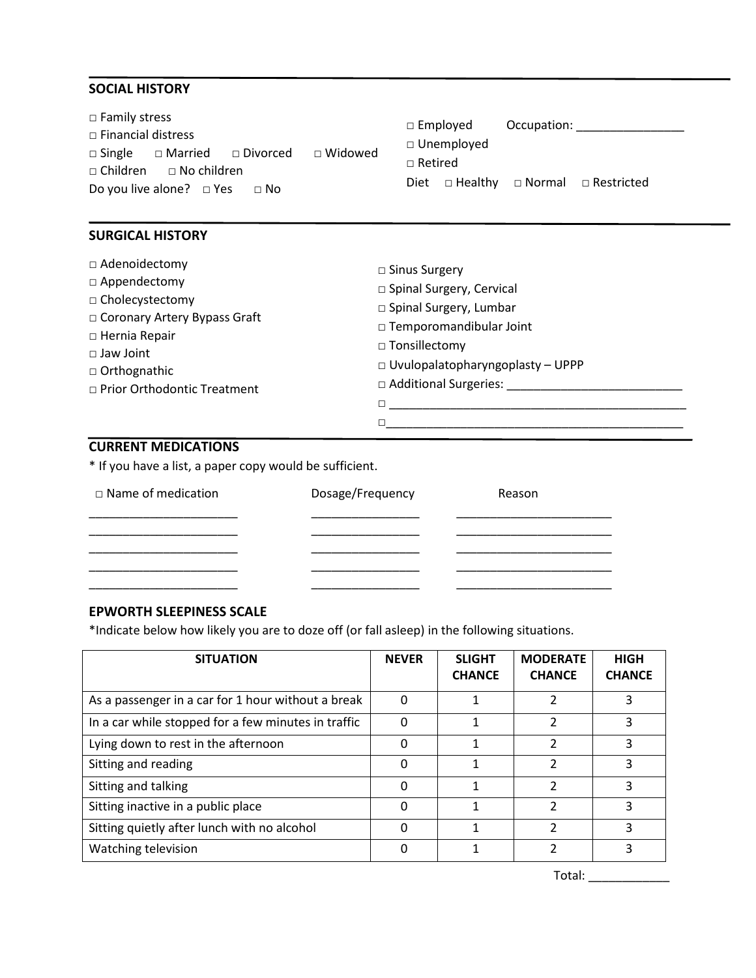## **SOCIAL HISTORY**

| $\Box$ Family stress                                      | $\Box$ Employed<br>Occupation:          |
|-----------------------------------------------------------|-----------------------------------------|
| $\Box$ Financial distress                                 |                                         |
| □ Widowed<br>$\Box$ Single $\Box$ Married $\Box$ Divorced | $\Box$ Unemployed                       |
| $\Box$ Children $\Box$ No children                        | $\Box$ Retired                          |
| Do you live alone? $\Box$ Yes<br>$\Box$ No                | □ Healthy □ Normal □ Restricted<br>Diet |

## **SURGICAL HISTORY**

| $\Box$ Adenoidectomy<br>$\Box$ Appendectomy<br>□ Cholecystectomy<br>□ Coronary Artery Bypass Graft<br>$\Box$ Hernia Repair<br>$\Box$ Jaw Joint<br>$\Box$ Orthognathic<br>□ Prior Orthodontic Treatment | $\Box$ Sinus Surgery<br>□ Spinal Surgery, Cervical<br>□ Spinal Surgery, Lumbar<br>□ Temporomandibular Joint<br>$\Box$ Tonsillectomy<br>$\Box$ Uvulopalatopharyngoplasty - UPPP<br>□ Additional Surgeries: |  |
|--------------------------------------------------------------------------------------------------------------------------------------------------------------------------------------------------------|-----------------------------------------------------------------------------------------------------------------------------------------------------------------------------------------------------------|--|
|                                                                                                                                                                                                        |                                                                                                                                                                                                           |  |

## **CURRENT MEDICATIONS**

\* If you have a list, a paper copy would be sufficient.

| $\Box$ Name of medication | Dosage/Frequency | Reason |
|---------------------------|------------------|--------|
|                           |                  |        |
|                           |                  |        |
|                           |                  |        |

## **EPWORTH SLEEPINESS SCALE**

\*Indicate below how likely you are to doze off (or fall asleep) in the following situations.

| <b>SITUATION</b>                                    | <b>NEVER</b> | <b>SLIGHT</b><br><b>CHANCE</b> | <b>MODERATE</b><br><b>CHANCE</b> | <b>HIGH</b><br><b>CHANCE</b> |
|-----------------------------------------------------|--------------|--------------------------------|----------------------------------|------------------------------|
| As a passenger in a car for 1 hour without a break  | 0            |                                |                                  | 3                            |
| In a car while stopped for a few minutes in traffic | O            | 1                              | $\overline{2}$                   | 3                            |
| Lying down to rest in the afternoon                 | 0            |                                | 2                                | 3                            |
| Sitting and reading                                 | 0            |                                | 2                                | 3                            |
| Sitting and talking                                 | 0            | 1                              | $\mathfrak{p}$                   | 3                            |
| Sitting inactive in a public place                  |              |                                | 2                                | ς                            |
| Sitting quietly after lunch with no alcohol         |              |                                | 2                                | 3                            |
| Watching television                                 |              |                                |                                  | 3                            |

Total: \_\_\_\_\_\_\_\_\_\_\_\_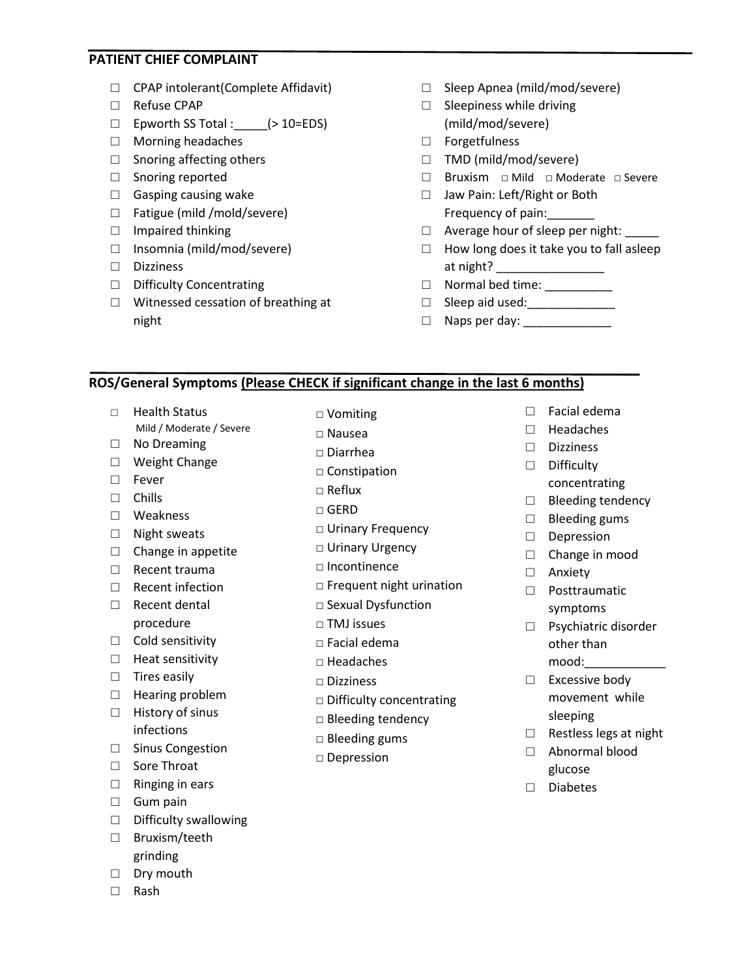#### **PATIENT CHIEF COMPLAINT**

- □ CPAP intolerant(Complete Affidavit)
- □ Refuse CPAP
- □ Epworth SS Total :\_\_\_\_\_(> 10=EDS)
- □ Morning headaches
- $\Box$  Snoring affecting others
- □ Snoring reported
- $\Box$  Gasping causing wake
- □ Fatigue (mild /mold/severe)
- □ Impaired thinking
- □ Insomnia (mild/mod/severe)
- □ Dizziness
- □ Difficulty Concentrating
- □ Witnessed cessation of breathing at night
- □ Sleep Apnea (mild/mod/severe)
- $\Box$  Sleepiness while driving (mild/mod/severe)
- □ Forgetfulness
- □ TMD (mild/mod/severe)
- □ Bruxism □ Mild □ Moderate □ Severe
- □ Jaw Pain: Left/Right or Both Frequency of pain:
- □ Average hour of sleep per night:
- $\Box$  How long does it take you to fall asleep at night? \_\_\_\_\_\_\_\_\_\_\_\_\_\_\_\_
- □ Normal bed time: \_\_\_\_\_\_\_\_\_\_\_
- □ Sleep aid used:\_\_\_\_\_\_\_\_\_\_\_\_\_
- □ Naps per day: \_\_\_\_\_\_\_\_\_\_\_\_\_

#### **ROS/General Symptoms (Please CHECK if significant change in the last 6 months)**

- □ Health Status
- Mild / Moderate / Severe □ No Dreaming
- □ Weight Change
- □ Fever
- □ Chills
- □ Weakness
- □ Night sweats
- $\Box$  Change in appetite
- □ Recent trauma
- □ Recent infection
- □ Recent dental procedure
- □ Cold sensitivity
- □ Heat sensitivity
- □ Tires easily
- □ Hearing problem
- □ History of sinus infections
- □ Sinus Congestion
- □ Sore Throat
- □ Ringing in ears
- □ Gum pain
- □ Difficulty swallowing
- □ Bruxism/teeth grinding
- □ Dry mouth
- □ Rash
- □ Vomiting
- □ Nausea
- □ Diarrhea
- □ Constipation
- $\square$  Reflux
- □ GERD
- □ Urinary Frequency
- □ Urinary Trequency<br>□ Urinary Urgency
- □ Incontinence
- □ Frequent night urination
- □ Sexual Dysfunction
- □ TMJ issues
- □ Facial edema
- □ Headaches
- □ Dizziness
- □ Difficulty concentrating
- □ Bleeding tendency
- □ Bleeding gums
- □ Depression
- □ Facial edema
- □ Headaches
- □ Dizziness
- □ Difficulty
- concentrating
- □ Bleeding tendency
- $\Box$  Bleeding gums
- □ Depression
- □ Change in mood
- □ Anxiety
- □ Posttraumatic symptoms
- □ Psychiatric disorder other than mood:\_\_\_\_\_\_\_\_\_\_\_\_
- □ Excessive body movement while sleeping
- □ Restless legs at night
- □ Abnormal blood glucose
- □ Diabetes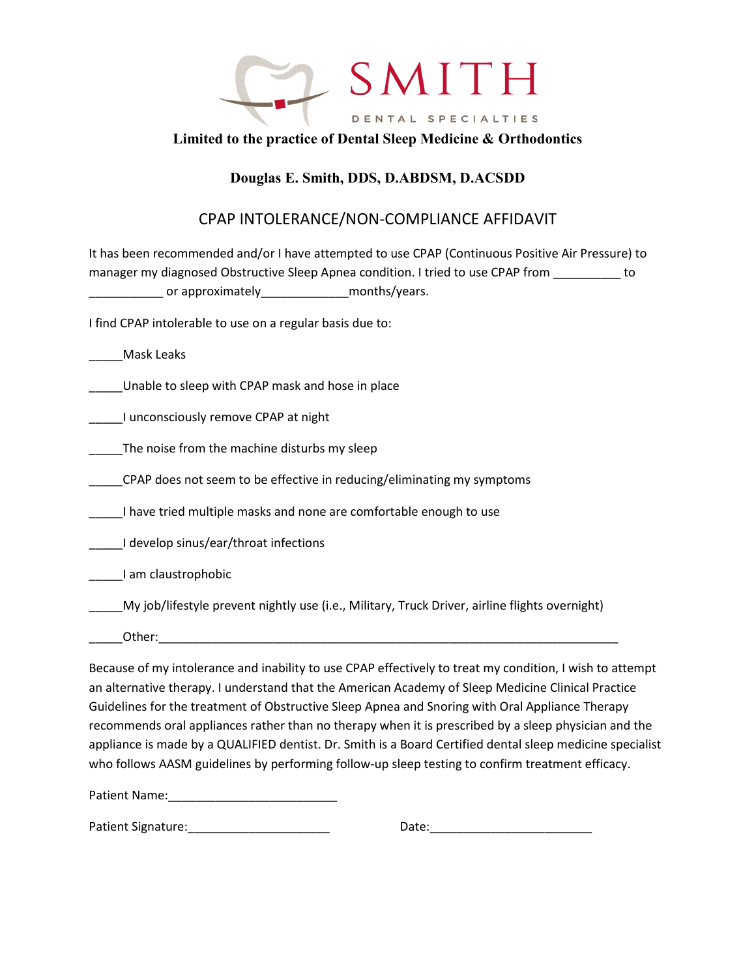

## **Limited to the practice of Dental Sleep Medicine & Orthodontics**

# **Douglas E. Smith, DDS, D.ABDSM, D.ACSDD**

# CPAP INTOLERANCE/NON-COMPLIANCE AFFIDAVIT

It has been recommended and/or I have attempted to use CPAP (Continuous Positive Air Pressure) to manager my diagnosed Obstructive Sleep Apnea condition. I tried to use CPAP from to \_\_\_\_\_\_\_\_\_\_\_ or approximately\_\_\_\_\_\_\_\_\_\_\_\_\_months/years.

I find CPAP intolerable to use on a regular basis due to:

\_\_\_\_\_Mask Leaks

\_\_\_\_\_Unable to sleep with CPAP mask and hose in place

\_\_\_\_\_I unconsciously remove CPAP at night

The noise from the machine disturbs my sleep

\_\_\_\_\_CPAP does not seem to be effective in reducing/eliminating my symptoms

I have tried multiple masks and none are comfortable enough to use

\_\_\_\_\_I develop sinus/ear/throat infections

\_\_\_\_\_I am claustrophobic

\_\_\_\_\_My job/lifestyle prevent nightly use (i.e., Military, Truck Driver, airline flights overnight)

Other:

Because of my intolerance and inability to use CPAP effectively to treat my condition, I wish to attempt an alternative therapy. I understand that the American Academy of Sleep Medicine Clinical Practice Guidelines for the treatment of Obstructive Sleep Apnea and Snoring with Oral Appliance Therapy recommends oral appliances rather than no therapy when it is prescribed by a sleep physician and the appliance is made by a QUALIFIED dentist. Dr. Smith is a Board Certified dental sleep medicine specialist who follows AASM guidelines by performing follow-up sleep testing to confirm treatment efficacy.

Patient Name:\_\_\_\_\_\_\_\_\_\_\_\_\_\_\_\_\_\_\_\_\_\_\_\_\_

Patient Signature:\_\_\_\_\_\_\_\_\_\_\_\_\_\_\_\_\_\_\_\_\_ Date:\_\_\_\_\_\_\_\_\_\_\_\_\_\_\_\_\_\_\_\_\_\_\_\_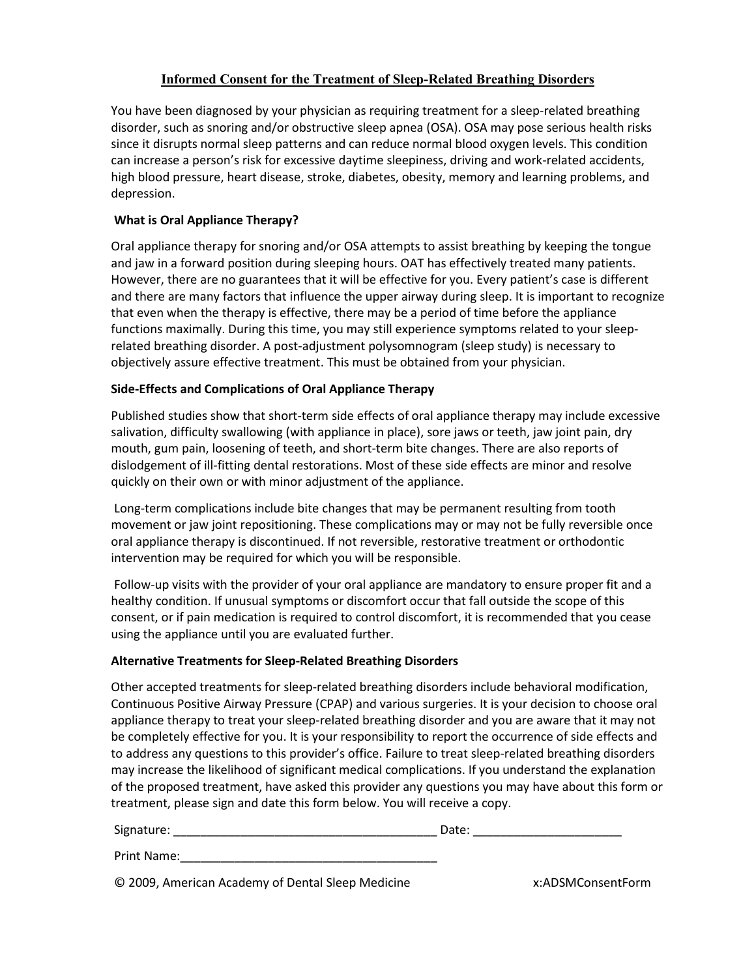## **Informed Consent for the Treatment of Sleep-Related Breathing Disorders**

You have been diagnosed by your physician as requiring treatment for a sleep-related breathing disorder, such as snoring and/or obstructive sleep apnea (OSA). OSA may pose serious health risks since it disrupts normal sleep patterns and can reduce normal blood oxygen levels. This condition can increase a person's risk for excessive daytime sleepiness, driving and work-related accidents, high blood pressure, heart disease, stroke, diabetes, obesity, memory and learning problems, and depression.

### **What is Oral Appliance Therapy?**

Oral appliance therapy for snoring and/or OSA attempts to assist breathing by keeping the tongue and jaw in a forward position during sleeping hours. OAT has effectively treated many patients. However, there are no guarantees that it will be effective for you. Every patient's case is different and there are many factors that influence the upper airway during sleep. It is important to recognize that even when the therapy is effective, there may be a period of time before the appliance functions maximally. During this time, you may still experience symptoms related to your sleeprelated breathing disorder. A post-adjustment polysomnogram (sleep study) is necessary to objectively assure effective treatment. This must be obtained from your physician.

#### **Side-Effects and Complications of Oral Appliance Therapy**

Published studies show that short-term side effects of oral appliance therapy may include excessive salivation, difficulty swallowing (with appliance in place), sore jaws or teeth, jaw joint pain, dry mouth, gum pain, loosening of teeth, and short-term bite changes. There are also reports of dislodgement of ill-fitting dental restorations. Most of these side effects are minor and resolve quickly on their own or with minor adjustment of the appliance.

Long-term complications include bite changes that may be permanent resulting from tooth movement or jaw joint repositioning. These complications may or may not be fully reversible once oral appliance therapy is discontinued. If not reversible, restorative treatment or orthodontic intervention may be required for which you will be responsible.

Follow-up visits with the provider of your oral appliance are mandatory to ensure proper fit and a healthy condition. If unusual symptoms or discomfort occur that fall outside the scope of this consent, or if pain medication is required to control discomfort, it is recommended that you cease using the appliance until you are evaluated further.

#### **Alternative Treatments for Sleep-Related Breathing Disorders**

Other accepted treatments for sleep-related breathing disorders include behavioral modification, Continuous Positive Airway Pressure (CPAP) and various surgeries. It is your decision to choose oral appliance therapy to treat your sleep-related breathing disorder and you are aware that it may not be completely effective for you. It is your responsibility to report the occurrence of side effects and to address any questions to this provider's office. Failure to treat sleep-related breathing disorders may increase the likelihood of significant medical complications. If you understand the explanation of the proposed treatment, have asked this provider any questions you may have about this form or treatment, please sign and date this form below. You will receive a copy.

| Signature:  | Date: |
|-------------|-------|
| Print Name: |       |

© 2009, American Academy of Dental Sleep Medicine x:ADSMConsentForm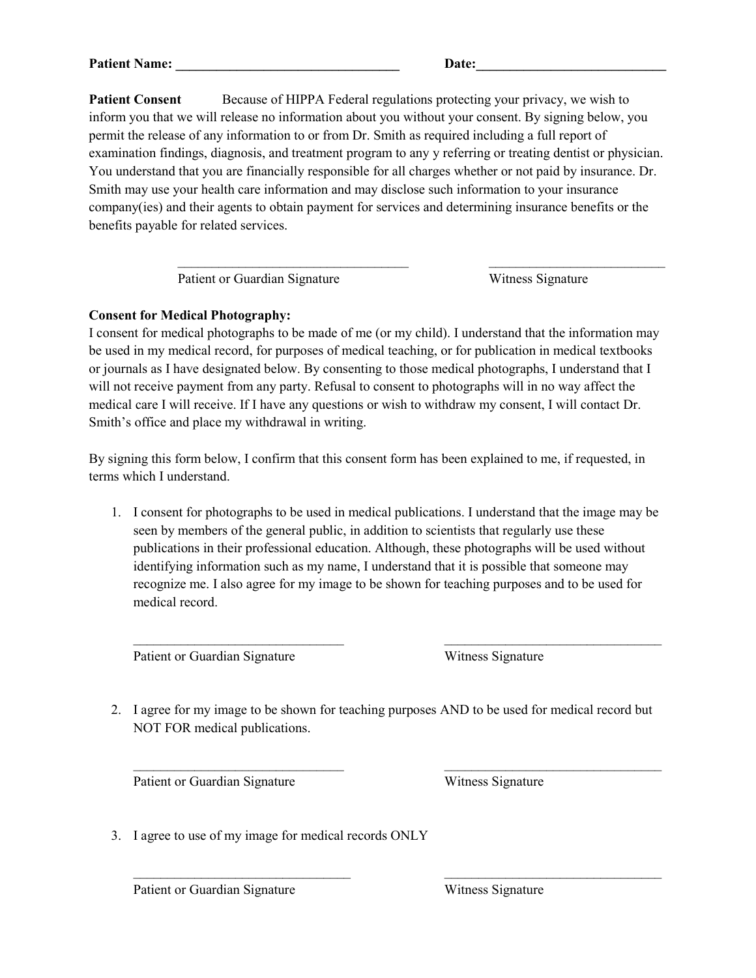**Patient Consent** Because of HIPPA Federal regulations protecting your privacy, we wish to inform you that we will release no information about you without your consent. By signing below, you permit the release of any information to or from Dr. Smith as required including a full report of examination findings, diagnosis, and treatment program to any y referring or treating dentist or physician. You understand that you are financially responsible for all charges whether or not paid by insurance. Dr. Smith may use your health care information and may disclose such information to your insurance company(ies) and their agents to obtain payment for services and determining insurance benefits or the benefits payable for related services.

\_\_\_\_\_\_\_\_\_\_\_\_\_\_\_\_\_\_\_\_\_\_\_\_\_\_\_\_\_\_\_\_\_\_ \_\_\_\_\_\_\_\_\_\_\_\_\_\_\_\_\_\_\_\_\_\_\_\_\_\_

Patient or Guardian Signature Witness Signature

## **Consent for Medical Photography:**

I consent for medical photographs to be made of me (or my child). I understand that the information may be used in my medical record, for purposes of medical teaching, or for publication in medical textbooks or journals as I have designated below. By consenting to those medical photographs, I understand that I will not receive payment from any party. Refusal to consent to photographs will in no way affect the medical care I will receive. If I have any questions or wish to withdraw my consent, I will contact Dr. Smith's office and place my withdrawal in writing.

By signing this form below, I confirm that this consent form has been explained to me, if requested, in terms which I understand.

1. I consent for photographs to be used in medical publications. I understand that the image may be seen by members of the general public, in addition to scientists that regularly use these publications in their professional education. Although, these photographs will be used without identifying information such as my name, I understand that it is possible that someone may recognize me. I also agree for my image to be shown for teaching purposes and to be used for medical record.

 $\overline{\phantom{a}}$  ,  $\overline{\phantom{a}}$  ,  $\overline{\phantom{a}}$  ,  $\overline{\phantom{a}}$  ,  $\overline{\phantom{a}}$  ,  $\overline{\phantom{a}}$  ,  $\overline{\phantom{a}}$  ,  $\overline{\phantom{a}}$  ,  $\overline{\phantom{a}}$  ,  $\overline{\phantom{a}}$  ,  $\overline{\phantom{a}}$  ,  $\overline{\phantom{a}}$  ,  $\overline{\phantom{a}}$  ,  $\overline{\phantom{a}}$  ,  $\overline{\phantom{a}}$  ,  $\overline{\phantom{a}}$ 

Patient or Guardian Signature Witness Signature

2. I agree for my image to be shown for teaching purposes AND to be used for medical record but NOT FOR medical publications.

\_\_\_\_\_\_\_\_\_\_\_\_\_\_\_\_\_\_\_\_\_\_\_\_\_\_\_\_\_\_\_ \_\_\_\_\_\_\_\_\_\_\_\_\_\_\_\_\_\_\_\_\_\_\_\_\_\_\_\_\_\_\_\_

 $\mathcal{L}_\text{max}$  , and the contract of the contract of the contract of the contract of the contract of the contract of

Patient or Guardian Signature Witness Signature

3. I agree to use of my image for medical records ONLY

Patient or Guardian Signature Witness Signature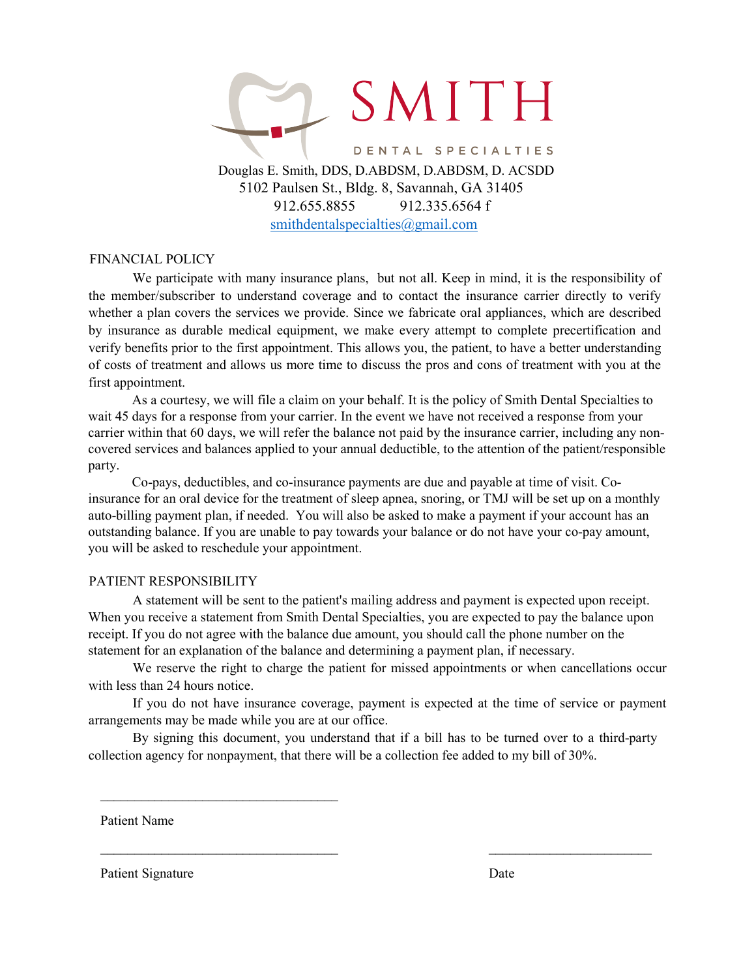

[smithdentalspecialties@gmail.com](mailto:savannahdentalspecialties@gmail.com)

#### FINANCIAL POLICY

We participate with many insurance plans, but not all. Keep in mind, it is the responsibility of the member/subscriber to understand coverage and to contact the insurance carrier directly to verify whether a plan covers the services we provide. Since we fabricate oral appliances, which are described by insurance as durable medical equipment, we make every attempt to complete precertification and verify benefits prior to the first appointment. This allows you, the patient, to have a better understanding of costs of treatment and allows us more time to discuss the pros and cons of treatment with you at the first appointment.

As a courtesy, we will file a claim on your behalf. It is the policy of Smith Dental Specialties to wait 45 days for a response from your carrier. In the event we have not received a response from your carrier within that 60 days, we will refer the balance not paid by the insurance carrier, including any noncovered services and balances applied to your annual deductible, to the attention of the patient/responsible party.

Co-pays, deductibles, and co-insurance payments are due and payable at time of visit. Coinsurance for an oral device for the treatment of sleep apnea, snoring, or TMJ will be set up on a monthly auto-billing payment plan, if needed. You will also be asked to make a payment if your account has an outstanding balance. If you are unable to pay towards your balance or do not have your co-pay amount, you will be asked to reschedule your appointment.

#### PATIENT RESPONSIBILITY

A statement will be sent to the patient's mailing address and payment is expected upon receipt. When you receive a statement from Smith Dental Specialties, you are expected to pay the balance upon receipt. If you do not agree with the balance due amount, you should call the phone number on the statement for an explanation of the balance and determining a payment plan, if necessary.

We reserve the right to charge the patient for missed appointments or when cancellations occur with less than 24 hours notice.

If you do not have insurance coverage, payment is expected at the time of service or payment arrangements may be made while you are at our office.

By signing this document, you understand that if a bill has to be turned over to a third-party collection agency for nonpayment, that there will be a collection fee added to my bill of 30%.

\_\_\_\_\_\_\_\_\_\_\_\_\_\_\_\_\_\_\_\_\_\_\_\_\_\_\_\_\_\_\_\_\_\_\_ \_\_\_\_\_\_\_\_\_\_\_\_\_\_\_\_\_\_\_\_\_\_\_\_

Patient Name

Patient Signature Date

\_\_\_\_\_\_\_\_\_\_\_\_\_\_\_\_\_\_\_\_\_\_\_\_\_\_\_\_\_\_\_\_\_\_\_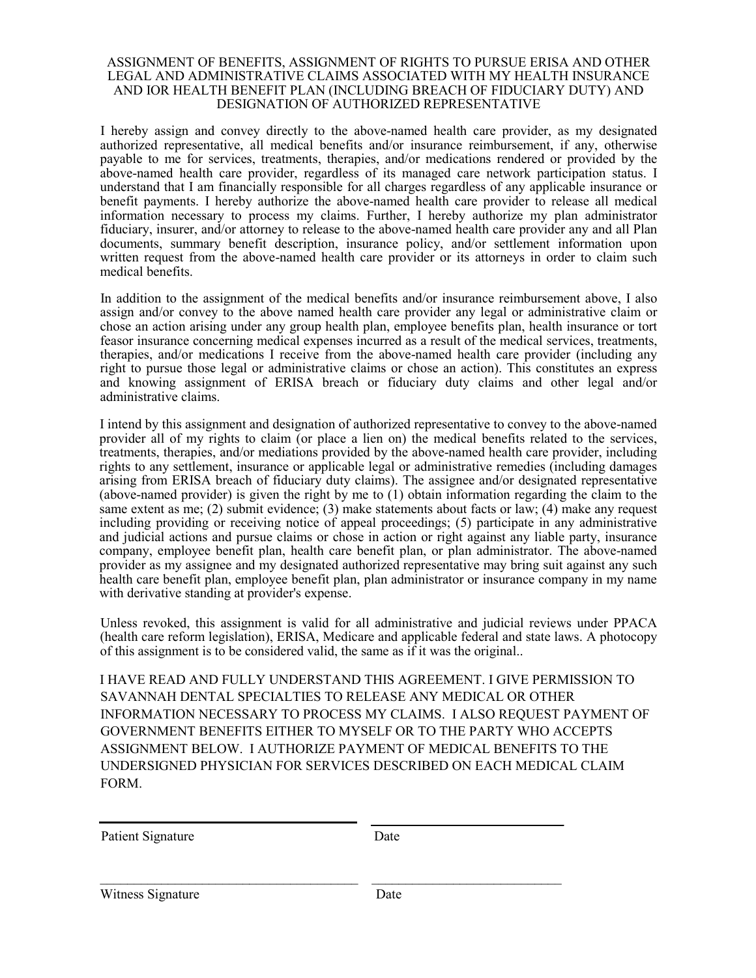#### ASSIGNMENT OF BENEFITS, ASSIGNMENT OF RIGHTS TO PURSUE ERISA AND OTHER LEGAL AND ADMINISTRATIVE CLAIMS ASSOCIATED WITH MY HEALTH INSURANCE AND IOR HEALTH BENEFIT PLAN (INCLUDING BREACH OF FIDUCIARY DUTY) AND DESIGNATION OF AUTHORIZED REPRESENTATIVE

I hereby assign and convey directly to the above-named health care provider, as my designated authorized representative, all medical benefits and/or insurance reimbursement, if any, otherwise payable to me for services, treatments, therapies, and/or medications rendered or provided by the above-named health care provider, regardless of its managed care network participation status. I understand that I am financially responsible for all charges regardless of any applicable insurance or benefit payments. I hereby authorize the above-named health care provider to release all medical information necessary to process my claims. Further, I hereby authorize my plan administrator fiduciary, insurer, and/or attorney to release to the above-named health care provider any and all Plan documents, summary benefit description, insurance policy, and/or settlement information upon written request from the above-named health care provider or its attorneys in order to claim such medical benefits.

In addition to the assignment of the medical benefits and/or insurance reimbursement above, I also assign and/or convey to the above named health care provider any legal or administrative claim or chose an action arising under any group health plan, employee benefits plan, health insurance or tort feasor insurance concerning medical expenses incurred as a result of the medical services, treatments, therapies, and/or medications I receive from the above-named health care provider (including any right to pursue those legal or administrative claims or chose an action). This constitutes an express and knowing assignment of ERISA breach or fiduciary duty claims and other legal and/or administrative claims.

I intend by this assignment and designation of authorized representative to convey to the above-named provider all of my rights to claim (or place a lien on) the medical benefits related to the services, treatments, therapies, and/or mediations provided by the above-named health care provider, including rights to any settlement, insurance or applicable legal or administrative remedies (including damages arising from ERISA breach of fiduciary duty claims). The assignee and/or designated representative (above-named provider) is given the right by me to (1) obtain information regarding the claim to the same extent as me; (2) submit evidence; (3) make statements about facts or law; (4) make any request including providing or receiving notice of appeal proceedings; (5) participate in any administrative and judicial actions and pursue claims or chose in action or right against any liable party, insurance company, employee benefit plan, health care benefit plan, or plan administrator. The above-named provider as my assignee and my designated authorized representative may bring suit against any such health care benefit plan, employee benefit plan, plan administrator or insurance company in my name with derivative standing at provider's expense.

Unless revoked, this assignment is valid for all administrative and judicial reviews under PPACA (health care reform legislation), ERISA, Medicare and applicable federal and state laws. A photocopy of this assignment is to be considered valid, the same as if it was the original..

I HAVE READ AND FULLY UNDERSTAND THIS AGREEMENT. I GIVE PERMISSION TO SAVANNAH DENTAL SPECIALTIES TO RELEASE ANY MEDICAL OR OTHER INFORMATION NECESSARY TO PROCESS MY CLAIMS. I ALSO REQUEST PAYMENT OF GOVERNMENT BENEFITS EITHER TO MYSELF OR TO THE PARTY WHO ACCEPTS ASSIGNMENT BELOW. I AUTHORIZE PAYMENT OF MEDICAL BENEFITS TO THE UNDERSIGNED PHYSICIAN FOR SERVICES DESCRIBED ON EACH MEDICAL CLAIM FORM.

| Patient Signature | Date |
|-------------------|------|
|                   |      |
|                   |      |

Witness Signature Date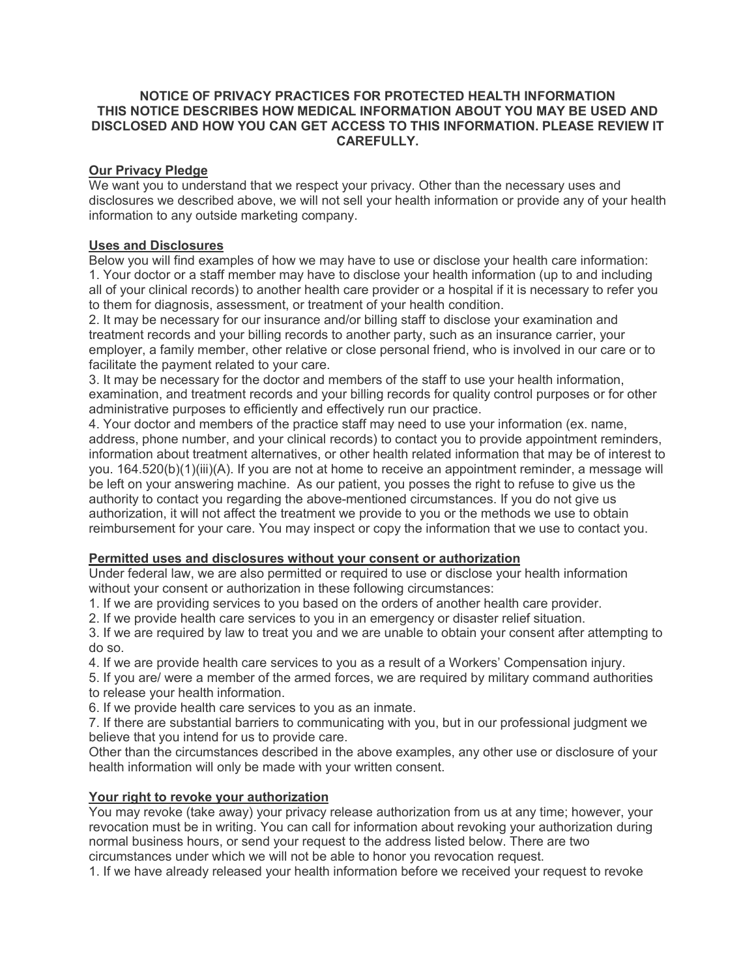#### **NOTICE OF PRIVACY PRACTICES FOR PROTECTED HEALTH INFORMATION THIS NOTICE DESCRIBES HOW MEDICAL INFORMATION ABOUT YOU MAY BE USED AND DISCLOSED AND HOW YOU CAN GET ACCESS TO THIS INFORMATION. PLEASE REVIEW IT CAREFULLY.**

### **Our Privacy Pledge**

We want you to understand that we respect your privacy. Other than the necessary uses and disclosures we described above, we will not sell your health information or provide any of your health information to any outside marketing company.

### **Uses and Disclosures**

Below you will find examples of how we may have to use or disclose your health care information: 1. Your doctor or a staff member may have to disclose your health information (up to and including all of your clinical records) to another health care provider or a hospital if it is necessary to refer you to them for diagnosis, assessment, or treatment of your health condition.

2. It may be necessary for our insurance and/or billing staff to disclose your examination and treatment records and your billing records to another party, such as an insurance carrier, your employer, a family member, other relative or close personal friend, who is involved in our care or to facilitate the payment related to your care.

3. It may be necessary for the doctor and members of the staff to use your health information, examination, and treatment records and your billing records for quality control purposes or for other administrative purposes to efficiently and effectively run our practice.

4. Your doctor and members of the practice staff may need to use your information (ex. name, address, phone number, and your clinical records) to contact you to provide appointment reminders, information about treatment alternatives, or other health related information that may be of interest to you. 164.520(b)(1)(iii)(A). If you are not at home to receive an appointment reminder, a message will be left on your answering machine. As our patient, you posses the right to refuse to give us the authority to contact you regarding the above-mentioned circumstances. If you do not give us authorization, it will not affect the treatment we provide to you or the methods we use to obtain reimbursement for your care. You may inspect or copy the information that we use to contact you.

#### **Permitted uses and disclosures without your consent or authorization**

Under federal law, we are also permitted or required to use or disclose your health information without your consent or authorization in these following circumstances:

1. If we are providing services to you based on the orders of another health care provider.

2. If we provide health care services to you in an emergency or disaster relief situation.

3. If we are required by law to treat you and we are unable to obtain your consent after attempting to do so.

4. If we are provide health care services to you as a result of a Workers' Compensation injury.

5. If you are/ were a member of the armed forces, we are required by military command authorities to release your health information.

6. If we provide health care services to you as an inmate.

7. If there are substantial barriers to communicating with you, but in our professional judgment we believe that you intend for us to provide care.

Other than the circumstances described in the above examples, any other use or disclosure of your health information will only be made with your written consent.

## **Your right to revoke your authorization**

You may revoke (take away) your privacy release authorization from us at any time; however, your revocation must be in writing. You can call for information about revoking your authorization during normal business hours, or send your request to the address listed below. There are two circumstances under which we will not be able to honor you revocation request.

1. If we have already released your health information before we received your request to revoke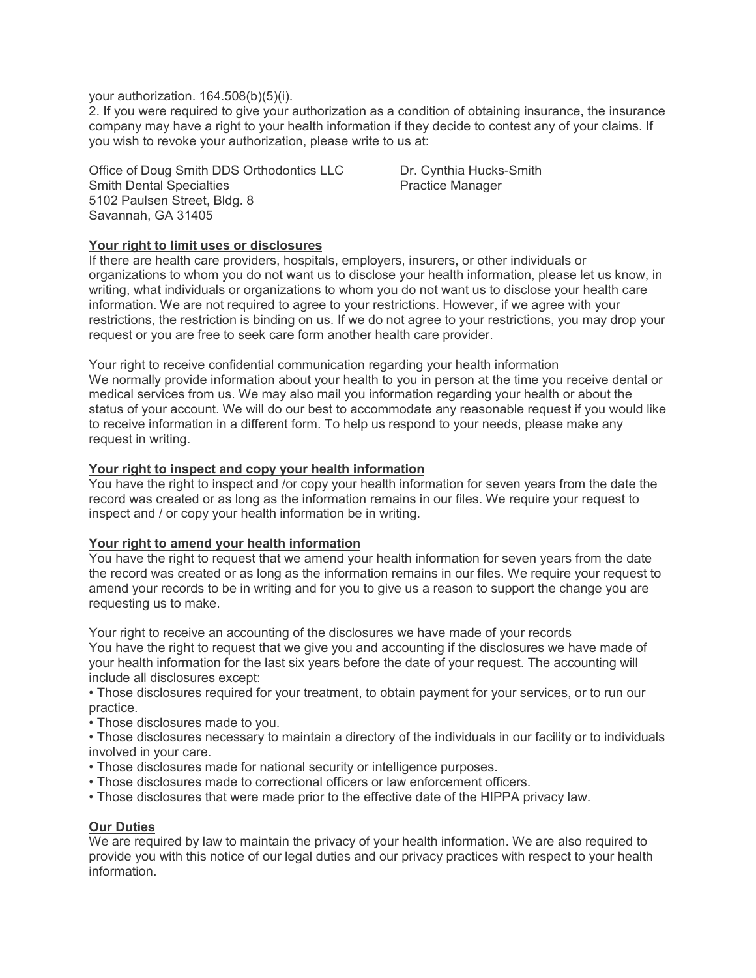#### your authorization. 164.508(b)(5)(i).

2. If you were required to give your authorization as a condition of obtaining insurance, the insurance company may have a right to your health information if they decide to contest any of your claims. If you wish to revoke your authorization, please write to us at:

Office of Doug Smith DDS Orthodontics LLC Dr. Cynthia Hucks-Smith Smith Dental Specialties **Practice Manager** Practice Manager 5102 Paulsen Street, Bldg. 8 Savannah, GA 31405

### **Your right to limit uses or disclosures**

If there are health care providers, hospitals, employers, insurers, or other individuals or organizations to whom you do not want us to disclose your health information, please let us know, in writing, what individuals or organizations to whom you do not want us to disclose your health care information. We are not required to agree to your restrictions. However, if we agree with your restrictions, the restriction is binding on us. If we do not agree to your restrictions, you may drop your request or you are free to seek care form another health care provider.

Your right to receive confidential communication regarding your health information We normally provide information about your health to you in person at the time you receive dental or medical services from us. We may also mail you information regarding your health or about the status of your account. We will do our best to accommodate any reasonable request if you would like to receive information in a different form. To help us respond to your needs, please make any request in writing.

#### **Your right to inspect and copy your health information**

You have the right to inspect and /or copy your health information for seven years from the date the record was created or as long as the information remains in our files. We require your request to inspect and / or copy your health information be in writing.

#### **Your right to amend your health information**

You have the right to request that we amend your health information for seven years from the date the record was created or as long as the information remains in our files. We require your request to amend your records to be in writing and for you to give us a reason to support the change you are requesting us to make.

Your right to receive an accounting of the disclosures we have made of your records You have the right to request that we give you and accounting if the disclosures we have made of your health information for the last six years before the date of your request. The accounting will include all disclosures except:

• Those disclosures required for your treatment, to obtain payment for your services, or to run our practice.

• Those disclosures made to you.

• Those disclosures necessary to maintain a directory of the individuals in our facility or to individuals involved in your care.

- Those disclosures made for national security or intelligence purposes.
- Those disclosures made to correctional officers or law enforcement officers.
- Those disclosures that were made prior to the effective date of the HIPPA privacy law.

#### **Our Duties**

We are required by law to maintain the privacy of your health information. We are also required to provide you with this notice of our legal duties and our privacy practices with respect to your health information.